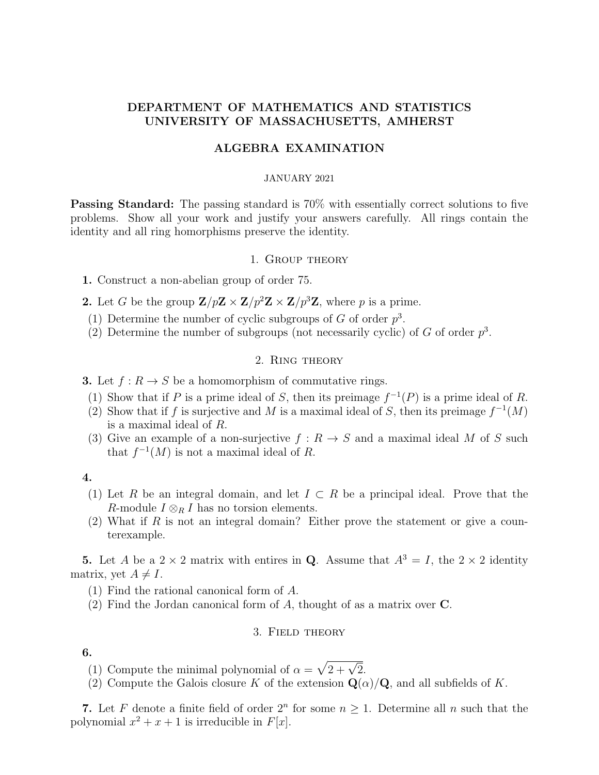## DEPARTMENT OF MATHEMATICS AND STATISTICS UNIVERSITY OF MASSACHUSETTS, AMHERST

## ALGEBRA EXAMINATION

#### JANUARY 2021

Passing Standard: The passing standard is 70% with essentially correct solutions to five problems. Show all your work and justify your answers carefully. All rings contain the identity and all ring homorphisms preserve the identity.

### 1. Group theory

1. Construct a non-abelian group of order 75.

- 2. Let G be the group  $\mathbf{Z}/p\mathbf{Z} \times \mathbf{Z}/p^2\mathbf{Z} \times \mathbf{Z}/p^3\mathbf{Z}$ , where p is a prime.
	- (1) Determine the number of cyclic subgroups of G of order  $p^3$ .
	- (2) Determine the number of subgroups (not necessarily cyclic) of G of order  $p^3$ .

## 2. Ring theory

- **3.** Let  $f: R \to S$  be a homomorphism of commutative rings.
	- (1) Show that if P is a prime ideal of S, then its preimage  $f^{-1}(P)$  is a prime ideal of R.
	- (2) Show that if f is surjective and M is a maximal ideal of S, then its preimage  $f^{-1}(M)$ is a maximal ideal of R.
	- (3) Give an example of a non-surjective  $f: R \to S$  and a maximal ideal M of S such that  $f^{-1}(M)$  is not a maximal ideal of R.

## 4.

- (1) Let R be an integral domain, and let  $I \subset R$  be a principal ideal. Prove that the R-module  $I \otimes_R I$  has no torsion elements.
- (2) What if R is not an integral domain? Either prove the statement or give a counterexample.

5. Let A be a  $2 \times 2$  matrix with entires in Q. Assume that  $A^3 = I$ , the  $2 \times 2$  identity matrix, yet  $A \neq I$ .

- (1) Find the rational canonical form of A.
- (2) Find the Jordan canonical form of  $A$ , thought of as a matrix over  $C$ .

#### 3. Field theory

6.

- (1) Compute the minimal polynomial of  $\alpha = \sqrt{2 + \sqrt{2}}$ .
- (2) Compute the Galois closure K of the extension  $\mathbf{Q}(\alpha)/\mathbf{Q}$ , and all subfields of K.

7. Let F denote a finite field of order  $2^n$  for some  $n \geq 1$ . Determine all n such that the polynomial  $x^2 + x + 1$  is irreducible in  $F[x]$ .